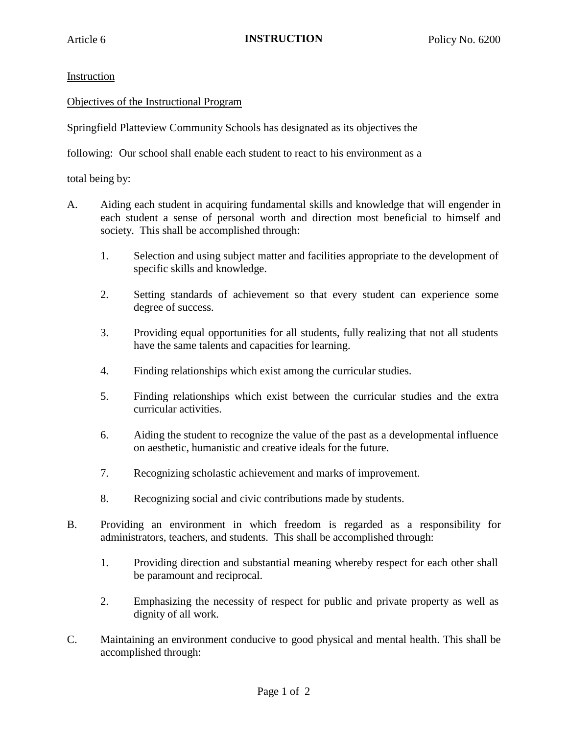## Instruction

## Objectives of the Instructional Program

Springfield Platteview Community Schools has designated as its objectives the

following: Our school shall enable each student to react to his environment as a

total being by:

- A. Aiding each student in acquiring fundamental skills and knowledge that will engender in each student a sense of personal worth and direction most beneficial to himself and society. This shall be accomplished through:
	- 1. Selection and using subject matter and facilities appropriate to the development of specific skills and knowledge.
	- 2. Setting standards of achievement so that every student can experience some degree of success.
	- 3. Providing equal opportunities for all students, fully realizing that not all students have the same talents and capacities for learning.
	- 4. Finding relationships which exist among the curricular studies.
	- 5. Finding relationships which exist between the curricular studies and the extra curricular activities.
	- 6. Aiding the student to recognize the value of the past as a developmental influence on aesthetic, humanistic and creative ideals for the future.
	- 7. Recognizing scholastic achievement and marks of improvement.
	- 8. Recognizing social and civic contributions made by students.
- B. Providing an environment in which freedom is regarded as a responsibility for administrators, teachers, and students. This shall be accomplished through:
	- 1. Providing direction and substantial meaning whereby respect for each other shall be paramount and reciprocal.
	- 2. Emphasizing the necessity of respect for public and private property as well as dignity of all work.
- C. Maintaining an environment conducive to good physical and mental health. This shall be accomplished through: